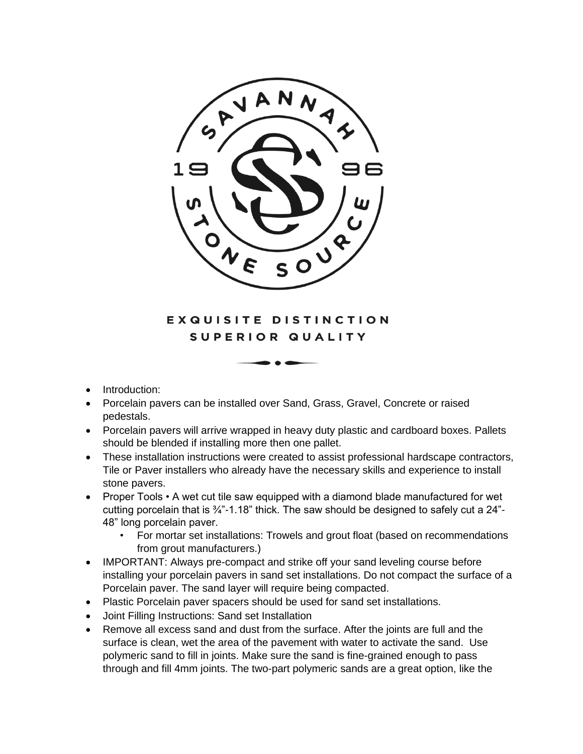

## EXQUISITE DISTINCTION SUPERIOR QUALITY

- Introduction:
- Porcelain pavers can be installed over Sand, Grass, Gravel, Concrete or raised pedestals.
- Porcelain pavers will arrive wrapped in heavy duty plastic and cardboard boxes. Pallets should be blended if installing more then one pallet.
- These installation instructions were created to assist professional hardscape contractors, Tile or Paver installers who already have the necessary skills and experience to install stone pavers.
- Proper Tools A wet cut tile saw equipped with a diamond blade manufactured for wet cutting porcelain that is  $\frac{3}{4}$ -1.18" thick. The saw should be designed to safely cut a 24"-48" long porcelain paver.
	- For mortar set installations: Trowels and grout float (based on recommendations from grout manufacturers.)
- IMPORTANT: Always pre-compact and strike off your sand leveling course before installing your porcelain pavers in sand set installations. Do not compact the surface of a Porcelain paver. The sand layer will require being compacted.
- Plastic Porcelain paver spacers should be used for sand set installations.
- Joint Filling Instructions: Sand set Installation
- Remove all excess sand and dust from the surface. After the joints are full and the surface is clean, wet the area of the pavement with water to activate the sand. Use polymeric sand to fill in joints. Make sure the sand is fine-grained enough to pass through and fill 4mm joints. The two-part polymeric sands are a great option, like the